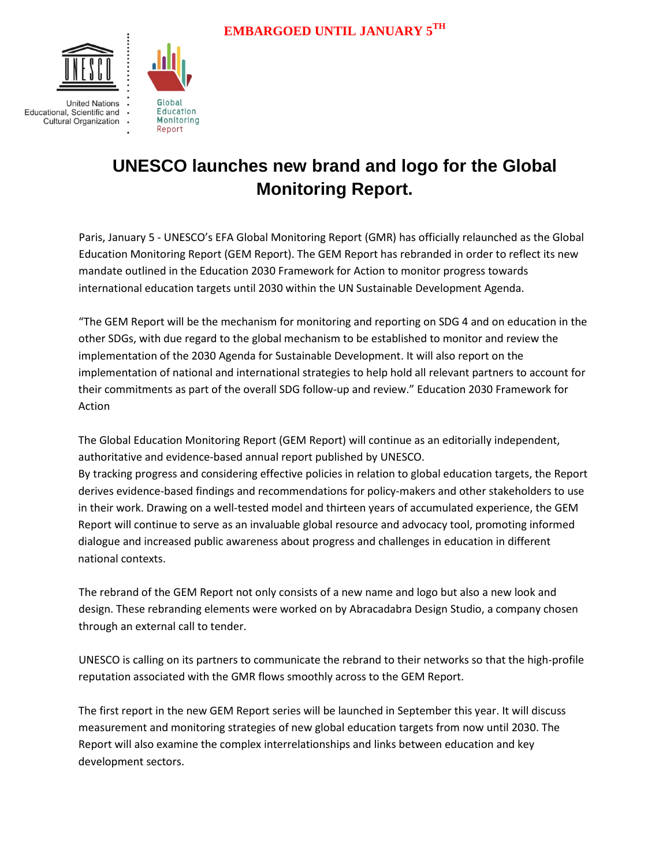



## **UNESCO launches new brand and logo for the Global Monitoring Report.**

Paris, January 5 - UNESCO's EFA Global Monitoring Report (GMR) has officially relaunched as the Global Education Monitoring Report (GEM Report). The GEM Report has rebranded in order to reflect its new mandate outlined in the Education 2030 Framework for Action to monitor progress towards international education targets until 2030 within the UN Sustainable Development Agenda.

"The GEM Report will be the mechanism for monitoring and reporting on SDG 4 and on education in the other SDGs, with due regard to the global mechanism to be established to monitor and review the implementation of the 2030 Agenda for Sustainable Development. It will also report on the implementation of national and international strategies to help hold all relevant partners to account for their commitments as part of the overall SDG follow-up and review." Education 2030 Framework for Action

The Global Education Monitoring Report (GEM Report) will continue as an editorially independent, authoritative and evidence-based annual report published by UNESCO. By tracking progress and considering effective policies in relation to global education targets, the Report derives evidence-based findings and recommendations for policy-makers and other stakeholders to use in their work. Drawing on a well-tested model and thirteen years of accumulated experience, the GEM Report will continue to serve as an invaluable global resource and advocacy tool, promoting informed dialogue and increased public awareness about progress and challenges in education in different national contexts.

The rebrand of the GEM Report not only consists of a new name and logo but also a new look and design. These rebranding elements were worked on by Abracadabra Design Studio, a company chosen through an external call to tender.

UNESCO is calling on its partners to communicate the rebrand to their networks so that the high-profile reputation associated with the GMR flows smoothly across to the GEM Report.

The first [report](http://en.unesco.org/gem-report/report/2016/education-sustainability-and-development-post-2015#sthash.qVdSvZ5J.dpbs) in the new GEM Report series will be launched in September this year. It will discuss measurement and monitoring strategies of new global education targets from now until 2030. The Report will also examine the complex interrelationships and links between education and key development sectors.